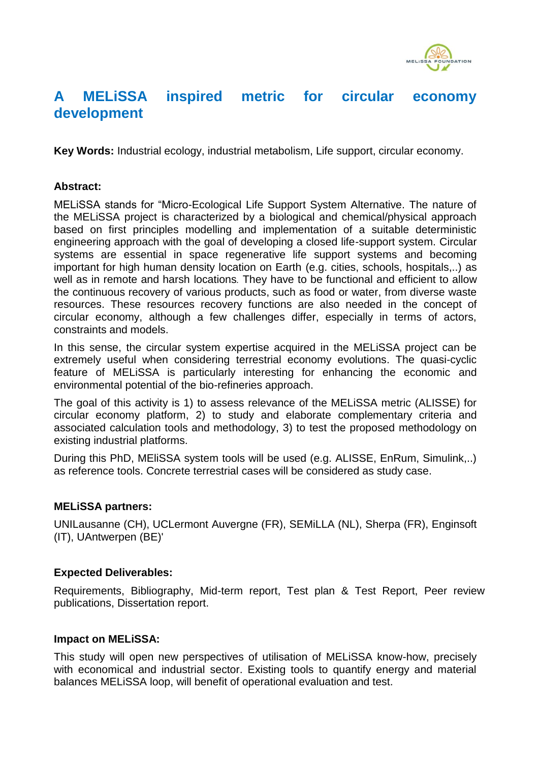

# **A MELiSSA inspired metric for circular economy development**

**Key Words:** Industrial ecology, industrial metabolism, Life support, circular economy.

## **Abstract:**

MELiSSA stands for "Micro-Ecological Life Support System Alternative. The nature of the MELiSSA project is characterized by a biological and chemical/physical approach based on first principles modelling and implementation of a suitable deterministic engineering approach with the goal of developing a closed life-support system. Circular systems are essential in space regenerative life support systems and becoming important for high human density location on Earth (e.g. cities, schools, hospitals,..) as well as in remote and harsh locations*.* They have to be functional and efficient to allow the continuous recovery of various products, such as food or water, from diverse waste resources. These resources recovery functions are also needed in the concept of circular economy, although a few challenges differ, especially in terms of actors, constraints and models.

In this sense, the circular system expertise acquired in the MELiSSA project can be extremely useful when considering terrestrial economy evolutions. The quasi-cyclic feature of MELiSSA is particularly interesting for enhancing the economic and environmental potential of the bio-refineries approach.

The goal of this activity is 1) to assess relevance of the MELiSSA metric (ALISSE) for circular economy platform, 2) to study and elaborate complementary criteria and associated calculation tools and methodology, 3) to test the proposed methodology on existing industrial platforms.

During this PhD, MEliSSA system tools will be used (e.g. ALISSE, EnRum, Simulink,..) as reference tools. Concrete terrestrial cases will be considered as study case.

#### **MELiSSA partners:**

UNILausanne (CH), UCLermont Auvergne (FR), SEMiLLA (NL), Sherpa (FR), Enginsoft (IT), UAntwerpen (BE)'

#### **Expected Deliverables:**

Requirements, Bibliography, Mid-term report, Test plan & Test Report, Peer review publications, Dissertation report.

#### **Impact on MELiSSA:**

This study will open new perspectives of utilisation of MELiSSA know-how, precisely with economical and industrial sector. Existing tools to quantify energy and material balances MELiSSA loop, will benefit of operational evaluation and test.